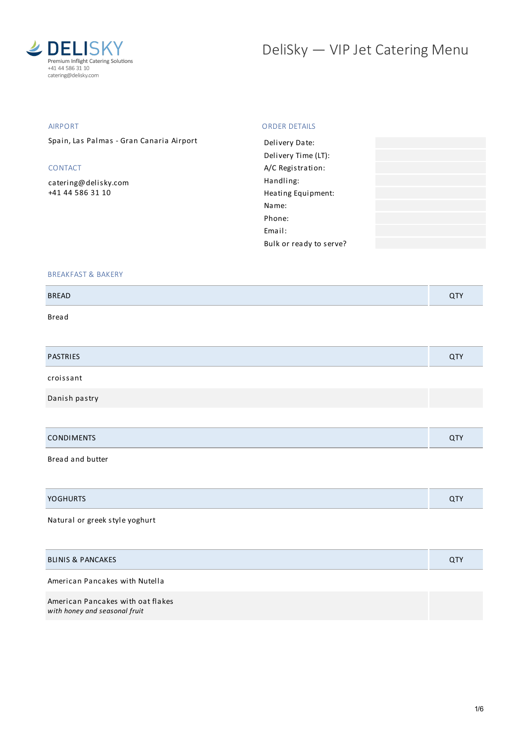

# DeliSky - VIP Jet Catering Menu

#### AIRPORT Spain, Las Palmas - Gran Canaria Airport CONTACT [catering@delisky.com](mailto:catering@delisky.com) +41 44 586 31 10 ORDER DETAILS Delivery Date: Delivery Time (LT): A/C Registration: Handling: Heating Equipment: Name: Phone: Email: Bulk or ready to serve?

#### BREAKFAST & BAKERY

Bread

|                   | QTY |
|-------------------|-----|
| croissant         |     |
| Danish pastry     |     |
|                   |     |
| <b>CONDIMENTS</b> | QTY |

Bread and butter

| $\mathcal{L}$ |  |
|---------------|--|
|               |  |

## Natural or greek style yoghurt

#### BLINIS & PANCAKES QTY

American Pancakes with Nutella

American Pancakes with oat flakes *with honey and seasonal fruit*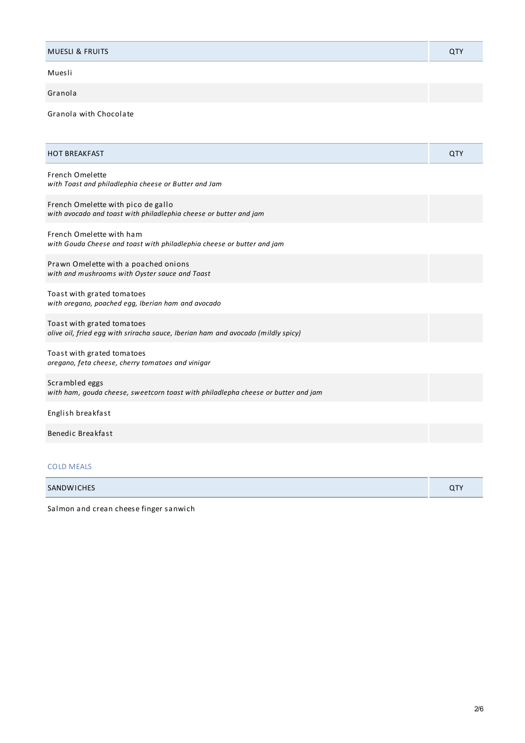| <b>MUESLI &amp; FRUITS</b> |  |
|----------------------------|--|
|                            |  |

Muesli

# Granola

Granola with Chocolate

| <b>HOT BREAKFAST</b>                                                                                           | QTY |
|----------------------------------------------------------------------------------------------------------------|-----|
| <b>French Omelette</b><br>with Toast and philadlephia cheese or Butter and Jam                                 |     |
| French Omelette with pico de gallo<br>with avocado and toast with philadlephia cheese or butter and jam        |     |
| French Omelette with ham<br>with Gouda Cheese and toast with philadlephia cheese or butter and jam             |     |
| Prawn Omelette with a poached onions<br>with and mushrooms with Oyster sauce and Toast                         |     |
| Toast with grated tomatoes<br>with oregano, poached egg, Iberian ham and avocado                               |     |
| Toast with grated tomatoes<br>olive oil, fried egg with sriracha sauce, Iberian ham and avocado (mildly spicy) |     |
| Toast with grated tomatoes<br>oregano, feta cheese, cherry tomatoes and vinigar                                |     |
| Scrambled eggs<br>with ham, gouda cheese, sweetcorn toast with philadlepha cheese or butter and jam            |     |
| English breakfast                                                                                              |     |
| Benedic Breakfast                                                                                              |     |
|                                                                                                                |     |

# COLD MEALS

| $\cap T$ |  |
|----------|--|
|          |  |

Salmon and crean cheese finger sanwich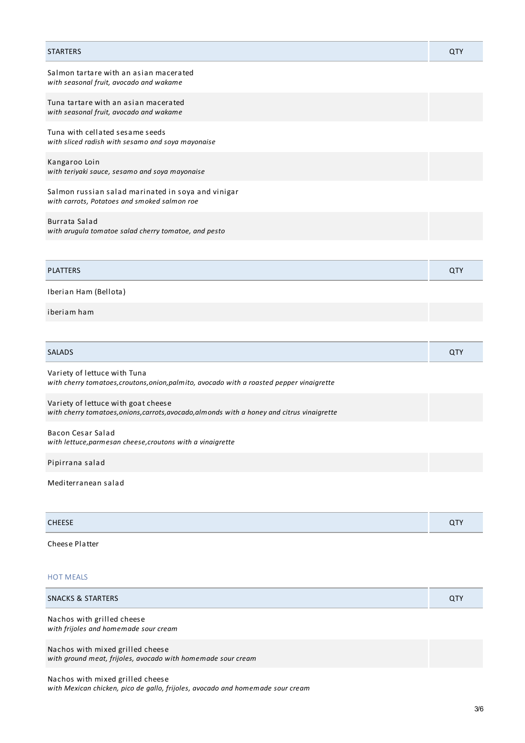| <b>STARTERS</b>                                                                                    | QTY |
|----------------------------------------------------------------------------------------------------|-----|
| Salmon tartare with an asian macerated<br>with seasonal fruit, avocado and wakame                  |     |
| Tuna tartare with an asian macerated<br>with seasonal fruit, avocado and wakame                    |     |
| Tuna with cellated sesame seeds<br>with sliced radish with sesamo and soya mayonaise               |     |
| Kangaroo Loin<br>with teriyaki sauce, sesamo and soya mayonaise                                    |     |
| Salmon russian salad marinated in soya and vinigar<br>with carrots, Potatoes and smoked salmon roe |     |
| Burrata Salad<br>with arugula tomatoe salad cherry tomatoe, and pesto                              |     |
|                                                                                                    |     |
| <b>PLATTERS</b>                                                                                    | QTY |
| Iberian Ham (Bellota)                                                                              |     |
| iberiam ham                                                                                        |     |
|                                                                                                    |     |
| <b>SALADS</b>                                                                                      | QTY |
|                                                                                                    |     |

| Variety of lettuce with Tuna                                                              |  |
|-------------------------------------------------------------------------------------------|--|
| with cherry tomatoes, croutons, onion, palmito, avocado with a roasted pepper vinaigrette |  |

Variety of lettuce with goat cheese *with cherry tomatoes,onions,carrots,avocado,almonds with a honey and citrus vinaigrette*

Bacon Cesar Salad *with lettuce,parmesan cheese,croutons with a vinaigrette*

Pipirrana salad

Mediterranean salad

| CHEECE<br>, _ _ _ _ |  |
|---------------------|--|
|                     |  |

Cheese Platter

## HOT MEALS

| SNACKS & STARTERS                                                   | <b>QTY</b> |
|---------------------------------------------------------------------|------------|
| Nachos with grilled cheese<br>with frijoles and homemade sour cream |            |
| Nachos with mixed grilled cheese                                    |            |

*with ground meat, frijoles, avocado with homemade sour cream*

Nachos with mixed grilled cheese *with Mexican chicken, pico de gallo, frijoles, avocado and homemade sour cream*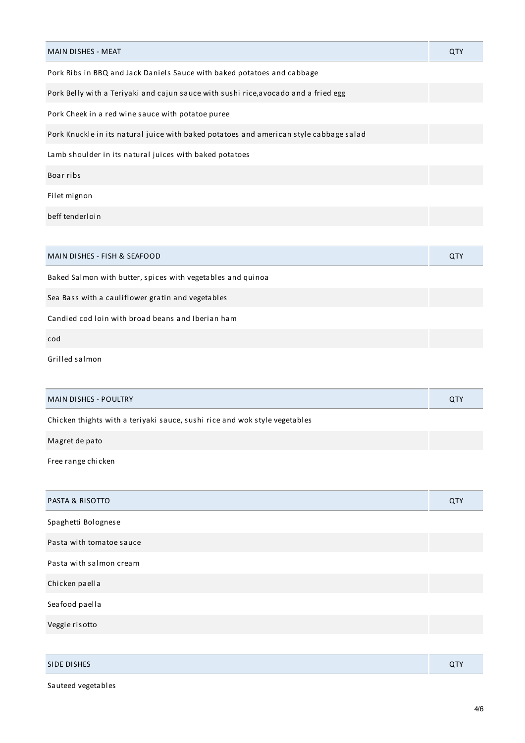| MAIN DISHES - MEAT                                                                     | QTY |
|----------------------------------------------------------------------------------------|-----|
| Pork Ribs in BBQ and Jack Daniels Sauce with baked potatoes and cabbage                |     |
| Pork Belly with a Teriyaki and cajun sauce with sushi rice, avocado and a fried egg    |     |
| Pork Cheek in a red wine sauce with potatoe puree                                      |     |
| Pork Knuckle in its natural juice with baked potatoes and american style cabbage salad |     |
| Lamb shoulder in its natural juices with baked potatoes                                |     |
| Boar ribs                                                                              |     |
| Filet mignon                                                                           |     |
| beff tenderloin                                                                        |     |
|                                                                                        |     |
| MAIN DISHES - FISH & SEAFOOD                                                           | QTY |
| Baked Salmon with butter, spices with vegetables and quinoa                            |     |
| Sea Bass with a cauliflower gratin and vegetables                                      |     |
| Candied cod loin with broad beans and Iberian ham                                      |     |
| cod                                                                                    |     |
| Grilled salmon                                                                         |     |
|                                                                                        |     |
| <b>MAIN DISHES - POULTRY</b>                                                           | QTY |
| Chicken thights with a teriyaki sauce, sushi rice and wok style vegetables             |     |
| Magret de pato                                                                         |     |
| Free range chicken                                                                     |     |
|                                                                                        |     |
| PASTA & RISOTTO                                                                        | QTY |
| Spaghetti Bolognese                                                                    |     |
| Pasta with tomatoe sauce                                                               |     |
| Pasta with salmon cream                                                                |     |

Chicken paella

Seafood paella

Veggie risotto

| SIDE DISHES | . . |
|-------------|-----|
|             |     |

Sauteed vegetables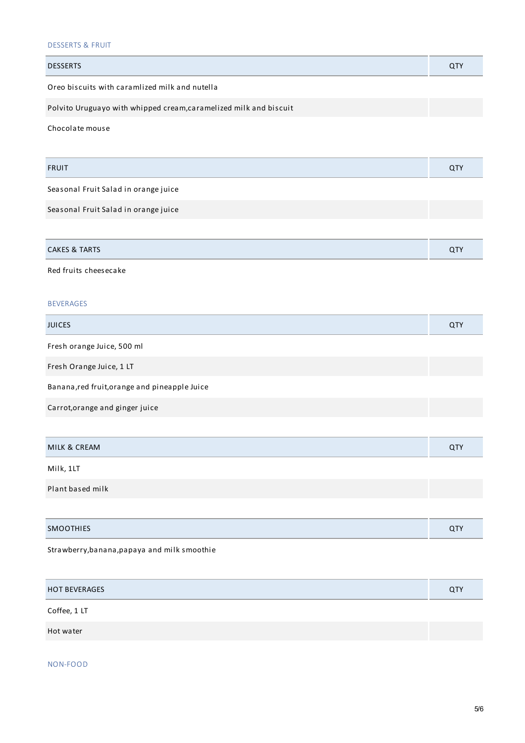## DESSERTS & FRUIT

| <b>DESSERTS</b>                                                   | QTY        |
|-------------------------------------------------------------------|------------|
| Oreo biscuits with caramlized milk and nutella                    |            |
| Polvito Uruguayo with whipped cream, caramelized milk and biscuit |            |
| Chocolate mouse                                                   |            |
| <b>FRUIT</b>                                                      | QTY        |
| Seasonal Fruit Salad in orange juice                              |            |
| Seasonal Fruit Salad in orange juice                              |            |
|                                                                   |            |
| <b>CAKES &amp; TARTS</b>                                          | QTY        |
| Red fruits cheesecake                                             |            |
| <b>BEVERAGES</b>                                                  |            |
| <b>JUICES</b>                                                     | QTY        |
| Fresh orange Juice, 500 ml                                        |            |
| Fresh Orange Juice, 1 LT                                          |            |
| Banana, red fruit, or ange and pineapple Juice                    |            |
| Carrot, orange and ginger juice                                   |            |
|                                                                   |            |
| MILK & CREAM                                                      | QTY        |
| Milk, 1LT                                                         |            |
| Plant based milk                                                  |            |
|                                                                   |            |
| <b>SMOOTHIES</b>                                                  | <b>QTY</b> |
|                                                                   |            |

Strawberry,banana,papaya and milk smoothie

| <b>HOT BEVERAGES</b> | <b>QTY</b> |
|----------------------|------------|
| Coffee, 1 LT         |            |
| Hot water            |            |

NON-FOOD